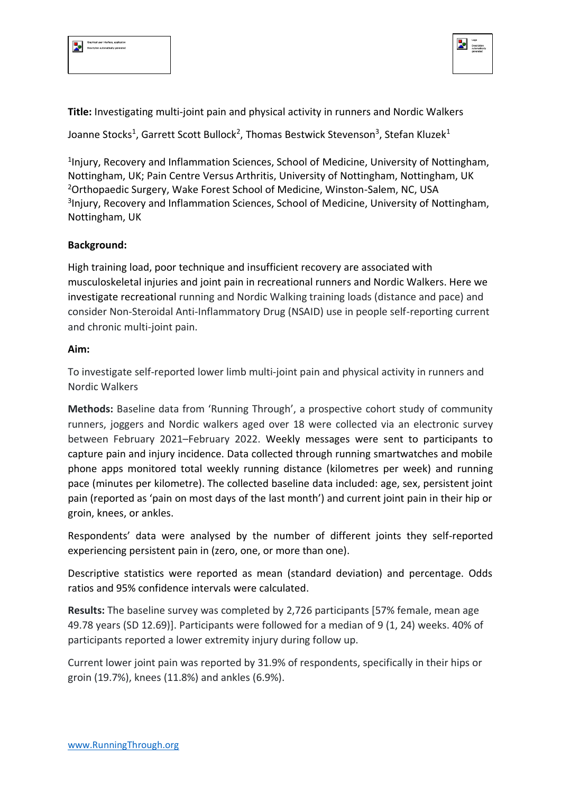



**Title:** Investigating multi-joint pain and physical activity in runners and Nordic Walkers

Joanne Stocks<sup>1</sup>, Garrett Scott Bullock<sup>2</sup>, Thomas Bestwick Stevenson<sup>3</sup>, Stefan Kluzek<sup>1</sup>

<sup>1</sup>Injury, Recovery and Inflammation Sciences, School of Medicine, University of Nottingham, Nottingham, UK; Pain Centre Versus Arthritis, University of Nottingham, Nottingham, UK <sup>2</sup>Orthopaedic Surgery, Wake Forest School of Medicine, Winston-Salem, NC, USA <sup>3</sup>Injury, Recovery and Inflammation Sciences, School of Medicine, University of Nottingham, Nottingham, UK

## **Background:**

High training load, poor technique and insufficient recovery are associated with musculoskeletal injuries and joint pain in recreational runners and Nordic Walkers. Here we investigate recreational running and Nordic Walking training loads (distance and pace) and consider Non-Steroidal Anti-Inflammatory Drug (NSAID) use in people self-reporting current and chronic multi-joint pain.

## **Aim:**

To investigate self-reported lower limb multi-joint pain and physical activity in runners and Nordic Walkers

**Methods:** Baseline data from 'Running Through', a prospective cohort study of community runners, joggers and Nordic walkers aged over 18 were collected via an electronic survey between February 2021–February 2022. Weekly messages were sent to participants to capture pain and injury incidence. Data collected through running smartwatches and mobile phone apps monitored total weekly running distance (kilometres per week) and running pace (minutes per kilometre). The collected baseline data included: age, sex, persistent joint pain (reported as 'pain on most days of the last month') and current joint pain in their hip or groin, knees, or ankles.

Respondents' data were analysed by the number of different joints they self-reported experiencing persistent pain in (zero, one, or more than one).

Descriptive statistics were reported as mean (standard deviation) and percentage. Odds ratios and 95% confidence intervals were calculated.

**Results:** The baseline survey was completed by 2,726 participants [57% female, mean age 49.78 years (SD 12.69)]. Participants were followed for a median of 9 (1, 24) weeks. 40% of participants reported a lower extremity injury during follow up.

Current lower joint pain was reported by 31.9% of respondents, specifically in their hips or groin (19.7%), knees (11.8%) and ankles (6.9%).